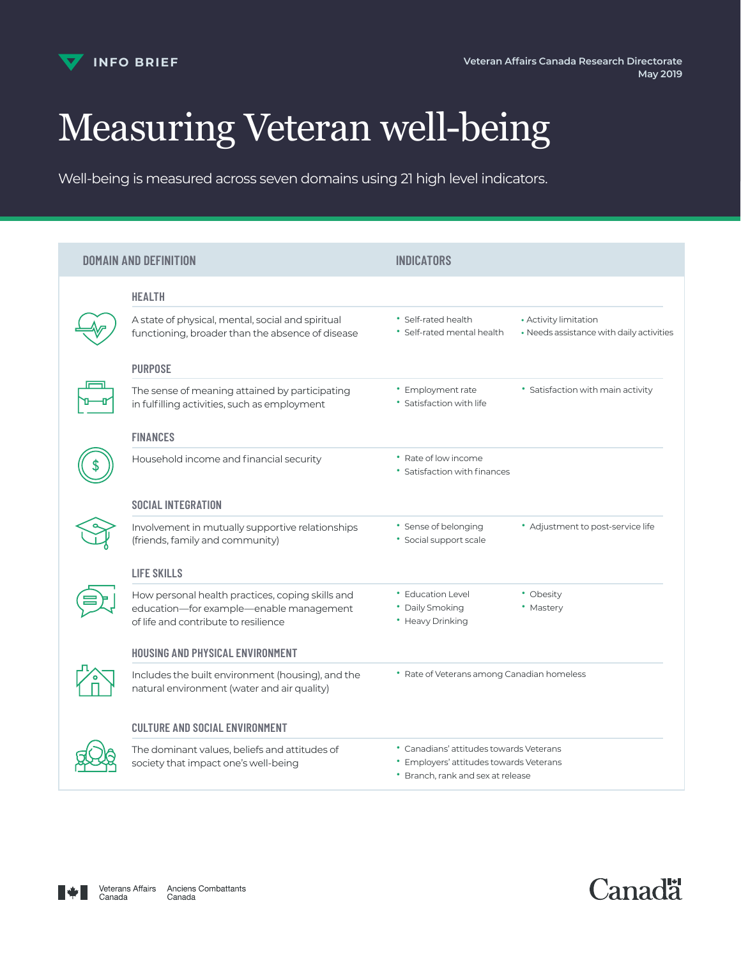

# Measuring Veteran well-being

Well-being is measured across seven domains using 21 high level indicators.

| <b>DOMAIN AND DEFINITION</b> |                                                                                                                                     | <b>INDICATORS</b>                                                                                                       |                                                                   |
|------------------------------|-------------------------------------------------------------------------------------------------------------------------------------|-------------------------------------------------------------------------------------------------------------------------|-------------------------------------------------------------------|
|                              | <b>HEALTH</b>                                                                                                                       |                                                                                                                         |                                                                   |
|                              | A state of physical, mental, social and spiritual<br>functioning, broader than the absence of disease                               | • Self-rated health<br>• Self-rated mental health                                                                       | • Activity limitation<br>• Needs assistance with daily activities |
|                              | <b>PURPOSE</b>                                                                                                                      |                                                                                                                         |                                                                   |
|                              | The sense of meaning attained by participating<br>in fulfilling activities, such as employment                                      | • Employment rate<br>• Satisfaction with life                                                                           | • Satisfaction with main activity                                 |
|                              | <b>FINANCES</b>                                                                                                                     |                                                                                                                         |                                                                   |
|                              | Household income and financial security                                                                                             | • Rate of low income<br>• Satisfaction with finances                                                                    |                                                                   |
|                              | <b>SOCIAL INTEGRATION</b>                                                                                                           |                                                                                                                         |                                                                   |
|                              | Involvement in mutually supportive relationships<br>(friends, family and community)                                                 | * Sense of belonging<br>• Social support scale                                                                          | • Adjustment to post-service life                                 |
|                              | <b>LIFE SKILLS</b>                                                                                                                  |                                                                                                                         |                                                                   |
|                              | How personal health practices, coping skills and<br>education-for example-enable management<br>of life and contribute to resilience | • Education Level<br>• Daily Smoking<br>• Heavy Drinking                                                                | • Obesity<br>• Mastery                                            |
|                              | HOUSING AND PHYSICAL ENVIRONMENT                                                                                                    |                                                                                                                         |                                                                   |
|                              | Includes the built environment (housing), and the<br>natural environment (water and air quality)                                    | • Rate of Veterans among Canadian homeless                                                                              |                                                                   |
|                              | <b>CULTURE AND SOCIAL ENVIRONMENT</b>                                                                                               |                                                                                                                         |                                                                   |
|                              | The dominant values, beliefs and attitudes of<br>society that impact one's well-being                                               | • Canadians' attitudes towards Veterans<br>• Employers' attitudes towards Veterans<br>* Branch, rank and sex at release |                                                                   |